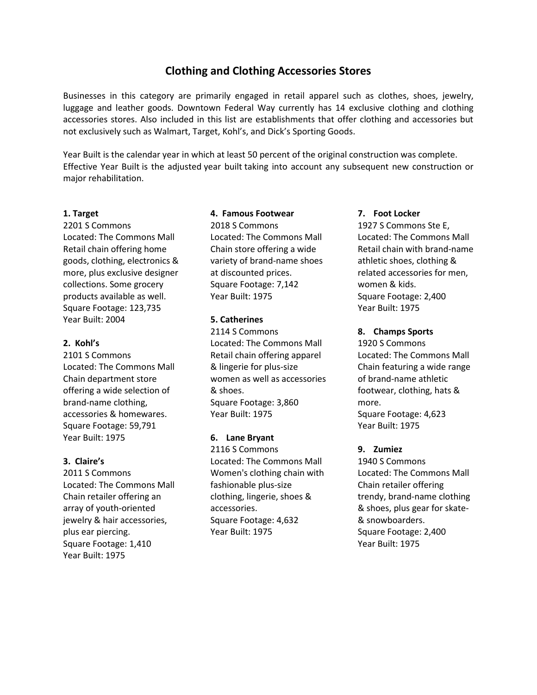# **Clothing and Clothing Accessories Stores**

Businesses in this category are primarily engaged in retail apparel such as clothes, shoes, jewelry, luggage and leather goods. Downtown Federal Way currently has 14 exclusive clothing and clothing accessories stores. Also included in this list are establishments that offer clothing and accessories but not exclusively such as Walmart, Target, Kohl's, and Dick's Sporting Goods.

Year Built is the calendar year in which at least 50 percent of the original construction was complete. Effective Year Built is the adjusted year built taking into account any subsequent new construction or major rehabilitation.

## **1. Target**

2201 S Commons Located: The Commons Mall Retail chain offering home goods, clothing, electronics & more, plus exclusive designer collections. Some grocery products available as well. Square Footage: 123,735 Year Built: 2004

## **2. Kohl's**

2101 S Commons Located: The Commons Mall Chain department store offering a wide selection of brand-name clothing, accessories & homewares. Square Footage: 59,791 Year Built: 1975

# **3. Claire's**

2011 S Commons Located: The Commons Mall Chain retailer offering an array of youth-oriented jewelry & hair accessories, plus ear piercing. Square Footage: 1,410 Year Built: 1975

## **4. Famous Footwear**

2018 S Commons Located: The Commons Mall Chain store offering a wide variety of brand-name shoes at discounted prices. Square Footage: 7,142 Year Built: 1975

## **5. Catherines**

2114 S Commons Located: The Commons Mall Retail chain offering apparel & lingerie for plus-size women as well as accessories & shoes. Square Footage: 3,860 Year Built: 1975

# **6. Lane Bryant**

2116 S Commons Located: The Commons Mall Women's clothing chain with fashionable plus-size clothing, lingerie, shoes & accessories. Square Footage: 4,632 Year Built: 1975

## **7. Foot Locker**

1927 S Commons Ste E, Located: The Commons Mall Retail chain with brand-name athletic shoes, clothing & related accessories for men, women & kids. Square Footage: 2,400 Year Built: 1975

## **8. Champs Sports**

1920 S Commons Located: The Commons Mall Chain featuring a wide range of brand-name athletic footwear, clothing, hats & more. Square Footage: 4,623 Year Built: 1975

# **9. Zumiez**

1940 S Commons Located: The Commons Mall Chain retailer offering trendy, brand-name clothing & shoes, plus gear for skate- & snowboarders. Square Footage: 2,400 Year Built: 1975